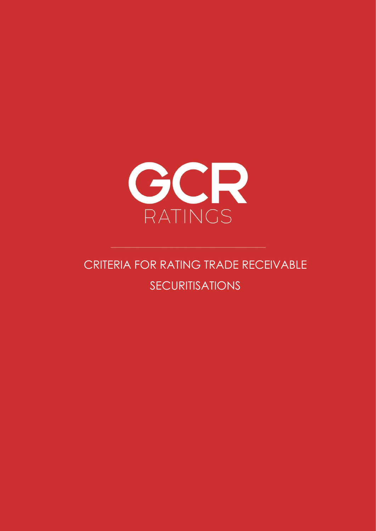

# CRITERIA FOR RATING TRADE RECEIVABLE SECURITISATIONS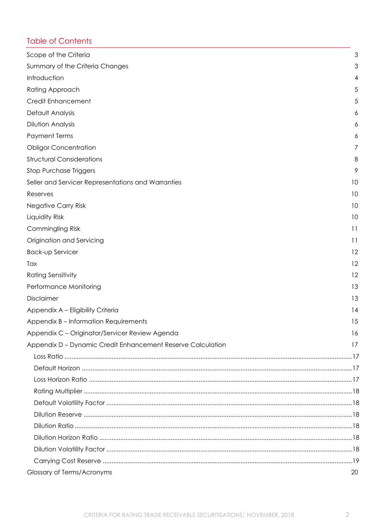## Table of Contents

| Scope of the Criteria                                       | 3  |
|-------------------------------------------------------------|----|
| Summary of the Criteria Changes                             | 3  |
| Introduction                                                | 4  |
| Rating Approach                                             | 5  |
| <b>Credit Enhancement</b>                                   | 5  |
| Default Analysis                                            | 6  |
| <b>Dilution Analysis</b>                                    | 6  |
| <b>Payment Terms</b>                                        | 6  |
| <b>Obligor Concentration</b>                                | 7  |
| <b>Structural Considerations</b>                            | 8  |
| <b>Stop Purchase Triggers</b>                               | 9  |
| Seller and Servicer Representations and Warranties          | 10 |
| Reserves                                                    | 10 |
| <b>Negative Carry Risk</b>                                  | 10 |
| Liquidity Risk                                              | 10 |
| Commingling Risk                                            | 11 |
| Origination and Servicing                                   | 11 |
| Back-up Servicer                                            | 12 |
| Tax                                                         | 12 |
| <b>Rating Sensitivity</b>                                   | 12 |
| Performance Monitoring                                      | 13 |
| Disclaimer                                                  | 13 |
| Appendix A - Eligibility Criteria                           | 14 |
| Appendix B – Information Requirements                       | 15 |
| Appendix C - Originator/Servicer Review Agenda              | 16 |
| Appendix D - Dynamic Credit Enhancement Reserve Calculation | 17 |
|                                                             |    |
|                                                             |    |
|                                                             |    |
|                                                             |    |
|                                                             |    |
|                                                             |    |
|                                                             |    |
|                                                             |    |
|                                                             |    |
|                                                             |    |
| Glossary of Terms/Acronyms                                  | 20 |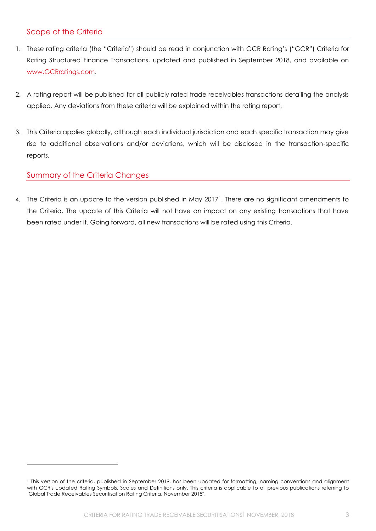## <span id="page-2-0"></span>Scope of the Criteria

- 1. These rating criteria (the "Criteria") should be read in conjunction with GCR Rating's ("GCR") Criteria for Rating Structured Finance Transactions, updated and published in September 2018, and available on www.GCRratings.com.
- 2. A rating report will be published for all publicly rated trade receivables transactions detailing the analysis applied. Any deviations from these criteria will be explained within the rating report.
- 3. This Criteria applies globally, although each individual jurisdiction and each specific transaction may give rise to additional observations and/or deviations, which will be disclosed in the transaction-specific reports.

## <span id="page-2-1"></span>Summary of the Criteria Changes

4. The Criteria is an update to the version published in May 2017<sup>1</sup>. There are no significant amendments to the Criteria. The update of this Criteria will not have an impact on any existing transactions that have been rated under it. Going forward, all new transactions will be rated using this Criteria.

<sup>1</sup> This version of the criteria, published in September 2019, has been updated for formatting, naming conventions and alignment with GCR's updated Rating Symbols, Scales and Definitions only. This criteria is applicable to all previous publications referring to "Global Trade Receivables Securitisation Rating Criteria, November 2018".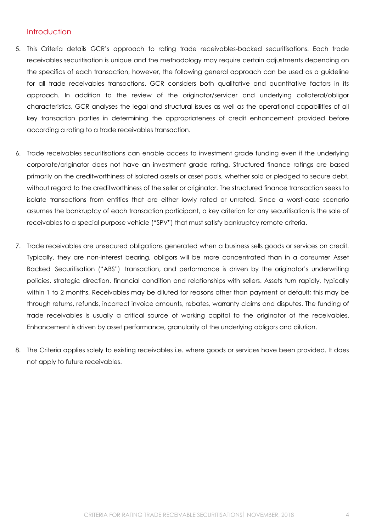#### <span id="page-3-0"></span>**Introduction**

- 5. This Criteria details GCR's approach to rating trade receivables-backed securitisations. Each trade receivables securitisation is unique and the methodology may require certain adjustments depending on the specifics of each transaction, however, the following general approach can be used as a guideline for all trade receivables transactions. GCR considers both qualitative and quantitative factors in its approach. In addition to the review of the originator/servicer and underlying collateral/obligor characteristics, GCR analyses the legal and structural issues as well as the operational capabilities of all key transaction parties in determining the appropriateness of credit enhancement provided before according a rating to a trade receivables transaction.
- 6. Trade receivables securitisations can enable access to investment grade funding even if the underlying corporate/originator does not have an investment grade rating. Structured finance ratings are based primarily on the creditworthiness of isolated assets or asset pools, whether sold or pledged to secure debt, without regard to the creditworthiness of the seller or originator. The structured finance transaction seeks to isolate transactions from entities that are either lowly rated or unrated. Since a worst-case scenario assumes the bankruptcy of each transaction participant, a key criterion for any securitisation is the sale of receivables to a special purpose vehicle ("SPV") that must satisfy bankruptcy remote criteria.
- 7. Trade receivables are unsecured obligations generated when a business sells goods or services on credit. Typically, they are non-interest bearing, obligors will be more concentrated than in a consumer Asset Backed Securitisation ("ABS") transaction, and performance is driven by the originator's underwriting policies, strategic direction, financial condition and relationships with sellers. Assets turn rapidly, typically within 1 to 2 months. Receivables may be diluted for reasons other than payment or default; this may be through returns, refunds, incorrect invoice amounts, rebates, warranty claims and disputes. The funding of trade receivables is usually a critical source of working capital to the originator of the receivables. Enhancement is driven by asset performance, granularity of the underlying obligors and dilution.
- 8. The Criteria applies solely to existing receivables i.e. where goods or services have been provided. It does not apply to future receivables.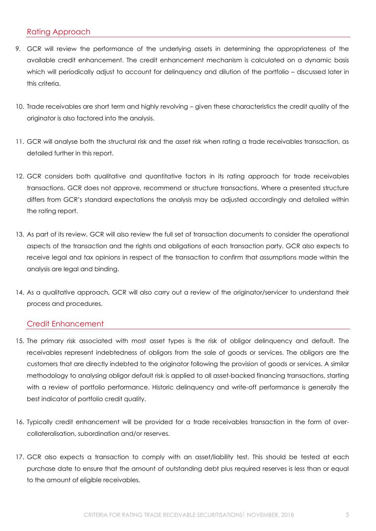## <span id="page-4-0"></span>Rating Approach

- 9. GCR will review the performance of the underlying assets in determining the appropriateness of the available credit enhancement. The credit enhancement mechanism is calculated on a dynamic basis which will periodically adjust to account for delinquency and dilution of the portfolio – discussed later in this criteria.
- 10. Trade receivables are short term and highly revolving given these characteristics the credit quality of the originator is also factored into the analysis.
- 11. GCR will analyse both the structural risk and the asset risk when rating a trade receivables transaction, as detailed further in this report.
- 12. GCR considers both qualitative and quantitative factors in its rating approach for trade receivables transactions. GCR does not approve, recommend or structure transactions. Where a presented structure differs from GCR's standard expectations the analysis may be adjusted accordingly and detailed within the rating report.
- 13. As part of its review, GCR will also review the full set of transaction documents to consider the operational aspects of the transaction and the rights and obligations of each transaction party. GCR also expects to receive legal and tax opinions in respect of the transaction to confirm that assumptions made within the analysis are legal and binding.
- 14. As a qualitative approach, GCR will also carry out a review of the originator/servicer to understand their process and procedures.

## <span id="page-4-1"></span>Credit Enhancement

- 15. The primary risk associated with most asset types is the risk of obligor delinquency and default. The receivables represent indebtedness of obligors from the sale of goods or services. The obligors are the customers that are directly indebted to the originator following the provision of goods or services. A similar methodology to analysing obligor default risk is applied to all asset-backed financing transactions, starting with a review of portfolio performance. Historic delinquency and write-off performance is generally the best indicator of portfolio credit quality.
- 16. Typically credit enhancement will be provided for a trade receivables transaction in the form of overcollateralisation, subordination and/or reserves.
- 17. GCR also expects a transaction to comply with an asset/liability test. This should be tested at each purchase date to ensure that the amount of outstanding debt plus required reserves is less than or equal to the amount of eligible receivables.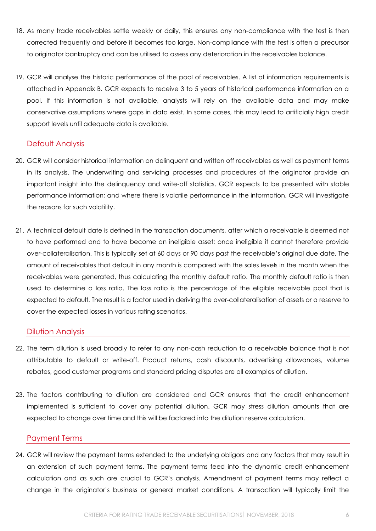- 18. As many trade receivables settle weekly or daily, this ensures any non-compliance with the test is then corrected frequently and before it becomes too large. Non-compliance with the test is often a precursor to originator bankruptcy and can be utilised to assess any deterioration in the receivables balance.
- 19. GCR will analyse the historic performance of the pool of receivables. A list of information requirements is attached in Appendix B. GCR expects to receive 3 to 5 years of historical performance information on a pool. If this information is not available, analysts will rely on the available data and may make conservative assumptions where gaps in data exist. In some cases, this may lead to artificially high credit support levels until adequate data is available.

#### <span id="page-5-0"></span>Default Analysis

- 20. GCR will consider historical information on delinquent and written off receivables as well as payment terms in its analysis. The underwriting and servicing processes and procedures of the originator provide an important insight into the delinquency and write-off statistics. GCR expects to be presented with stable performance information; and where there is volatile performance in the information, GCR will investigate the reasons for such volatility.
- 21. A technical default date is defined in the transaction documents, after which a receivable is deemed not to have performed and to have become an ineligible asset; once ineligible it cannot therefore provide over-collateralisation. This is typically set at 60 days or 90 days past the receivable's original due date. The amount of receivables that default in any month is compared with the sales levels in the month when the receivables were generated, thus calculating the monthly default ratio. The monthly default ratio is then used to determine a loss ratio. The loss ratio is the percentage of the eligible receivable pool that is expected to default. The result is a factor used in deriving the over-collateralisation of assets or a reserve to cover the expected losses in various rating scenarios.

#### <span id="page-5-1"></span>Dilution Analysis

- 22. The term dilution is used broadly to refer to any non-cash reduction to a receivable balance that is not attributable to default or write-off. Product returns, cash discounts, advertising allowances, volume rebates, good customer programs and standard pricing disputes are all examples of dilution.
- 23. The factors contributing to dilution are considered and GCR ensures that the credit enhancement implemented is sufficient to cover any potential dilution. GCR may stress dilution amounts that are expected to change over time and this will be factored into the dilution reserve calculation.

#### <span id="page-5-2"></span>Payment Terms

24. GCR will review the payment terms extended to the underlying obligors and any factors that may result in an extension of such payment terms. The payment terms feed into the dynamic credit enhancement calculation and as such are crucial to GCR's analysis. Amendment of payment terms may reflect a change in the originator's business or general market conditions. A transaction will typically limit the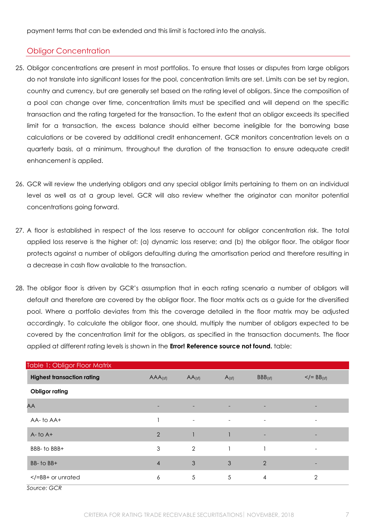payment terms that can be extended and this limit is factored into the analysis.

## <span id="page-6-0"></span>Obligor Concentration

- 25. Obligor concentrations are present in most portfolios. To ensure that losses or disputes from large obligors do not translate into significant losses for the pool, concentration limits are set. Limits can be set by region, country and currency, but are generally set based on the rating level of obligors. Since the composition of a pool can change over time, concentration limits must be specified and will depend on the specific transaction and the rating targeted for the transaction. To the extent that an obligor exceeds its specified limit for a transaction, the excess balance should either become ineligible for the borrowing base calculations or be covered by additional credit enhancement. GCR monitors concentration levels on a quarterly basis, at a minimum, throughout the duration of the transaction to ensure adequate credit enhancement is applied.
- 26. GCR will review the underlying obligors and any special obligor limits pertaining to them on an individual level as well as at a group level. GCR will also review whether the originator can monitor potential concentrations going forward.
- 27. A floor is established in respect of the loss reserve to account for obligor concentration risk. The total applied loss reserve is the higher of: (a) dynamic loss reserve; and (b) the obligor floor. The obligor floor protects against a number of obligors defaulting during the amortisation period and therefore resulting in a decrease in cash flow available to the transaction.
- 28. The obligor floor is driven by GCR's assumption that in each rating scenario a number of obligors will default and therefore are covered by the obligor floor. The floor matrix acts as a guide for the diversified pool. Where a portfolio deviates from this the coverage detailed in the floor matrix may be adjusted accordingly. To calculate the obligor floor, one should, multiply the number of obligors expected to be covered by the concentration limit for the obligors, as specified in the transaction documents. The floor applied at different rating levels is shown in the **Error! Reference source not found.** table:

| Table 1: Obligor Floor Matrix     |                          |                          |                          |                          |                             |
|-----------------------------------|--------------------------|--------------------------|--------------------------|--------------------------|-----------------------------|
| <b>Highest transaction rating</b> | AAA <sub>(sf)</sub>      | $AA$ <sub>(sf)</sub>     | $A_{(sf)}$               | $BBB_{(sf)}$             | $\lt$ /= BB <sub>(sf)</sub> |
| <b>Obligor rating</b>             |                          |                          |                          |                          |                             |
| AA                                | $\overline{\phantom{a}}$ | $\overline{\phantom{a}}$ | $\overline{\phantom{0}}$ | ٠                        |                             |
| AA-to AA+                         |                          | $\overline{\phantom{a}}$ | $\overline{\phantom{a}}$ | $\overline{\phantom{a}}$ | $\overline{\phantom{a}}$    |
| $A-$ to $A+$                      | $\overline{2}$           |                          |                          | ۰                        | -                           |
| BBB- to BBB+                      | 3                        | $\overline{2}$           |                          |                          | $\overline{\phantom{a}}$    |
| BB- to BB+                        | $\overline{4}$           | 3                        | 3                        | $\overline{2}$           |                             |
| $\langle$ = BB+ or unrated        | 6                        | 5                        | 5                        | 4                        | $\overline{2}$              |

*Source: GCR*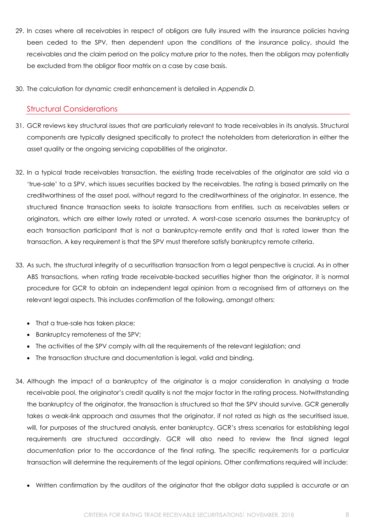- 29. In cases where all receivables in respect of obligors are fully insured with the insurance policies having been ceded to the SPV, then dependent upon the conditions of the insurance policy, should the receivables and the claim period on the policy mature prior to the notes, then the obligors may potentially be excluded from the obligor floor matrix on a case by case basis.
- 30. The calculation for dynamic credit enhancement is detailed in *Appendix D.*

## <span id="page-7-0"></span>Structural Considerations

- 31. GCR reviews key structural issues that are particularly relevant to trade receivables in its analysis. Structural components are typically designed specifically to protect the noteholders from deterioration in either the asset quality or the ongoing servicing capabilities of the originator.
- 32. In a typical trade receivables transaction, the existing trade receivables of the originator are sold via a 'true-sale' to a SPV, which issues securities backed by the receivables. The rating is based primarily on the creditworthiness of the asset pool, without regard to the creditworthiness of the originator. In essence, the structured finance transaction seeks to isolate transactions from entities, such as receivables sellers or originators, which are either lowly rated or unrated. A worst-case scenario assumes the bankruptcy of each transaction participant that is not a bankruptcy-remote entity and that is rated lower than the transaction. A key requirement is that the SPV must therefore satisfy bankruptcy remote criteria.
- 33. As such, the structural integrity of a securitisation transaction from a legal perspective is crucial. As in other ABS transactions, when rating trade receivable-backed securities higher than the originator, it is normal procedure for GCR to obtain an independent legal opinion from a recognised firm of attorneys on the relevant legal aspects. This includes confirmation of the following, amongst others:
	- That a true-sale has taken place;
	- Bankruptcy remoteness of the SPV;
	- The activities of the SPV comply with all the requirements of the relevant legislation; and
	- The transaction structure and documentation is legal, valid and binding.
- 34. Although the impact of a bankruptcy of the originator is a major consideration in analysing a trade receivable pool, the originator's credit quality is not the major factor in the rating process. Notwithstanding the bankruptcy of the originator, the transaction is structured so that the SPV should survive. GCR generally takes a weak-link approach and assumes that the originator, if not rated as high as the securitised issue, will, for purposes of the structured analysis, enter bankruptcy. GCR's stress scenarios for establishing legal requirements are structured accordingly. GCR will also need to review the final signed legal documentation prior to the accordance of the final rating. The specific requirements for a particular transaction will determine the requirements of the legal opinions. Other confirmations required will include:
	- Written confirmation by the auditors of the originator that the obligor data supplied is accurate or an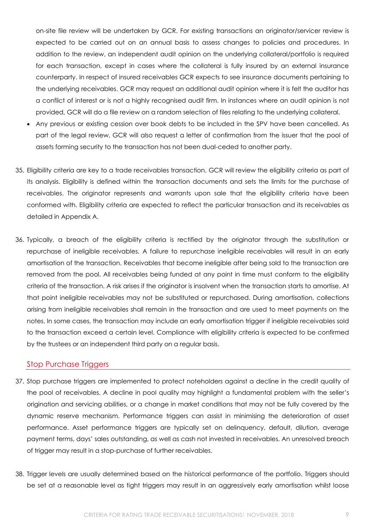on-site file review will be undertaken by GCR. For existing transactions an originator/servicer review is expected to be carried out on an annual basis to assess changes to policies and procedures. In addition to the review, an independent audit opinion on the underlying collateral/portfolio is required for each transaction, except in cases where the collateral is fully insured by an external insurance counterparty. In respect of insured receivables GCR expects to see insurance documents pertaining to the underlying receivables. GCR may request an additional audit opinion where it is felt the auditor has a conflict of interest or is not a highly recognised audit firm. In instances where an audit opinion is not provided, GCR will do a file review on a random selection of files relating to the underlying collateral.

- Any previous or existing cession over book debts to be included in the SPV have been cancelled. As part of the legal review, GCR will also request a letter of confirmation from the issuer that the pool of assets forming security to the transaction has not been dual-ceded to another party.
- 35. Eligibility criteria are key to a trade receivables transaction. GCR will review the eligibility criteria as part of its analysis. Eligibility is defined within the transaction documents and sets the limits for the purchase of receivables. The originator represents and warrants upon sale that the eligibility criteria have been conformed with. Eligibility criteria are expected to reflect the particular transaction and its receivables as detailed in Appendix A.
- 36. Typically, a breach of the eligibility criteria is rectified by the originator through the substitution or repurchase of ineligible receivables. A failure to repurchase ineligible receivables will result in an early amortisation of the transaction. Receivables that become ineligible after being sold to the transaction are removed from the pool. All receivables being funded at any point in time must conform to the eligibility criteria of the transaction. A risk arises if the originator is insolvent when the transaction starts to amortise. At that point ineligible receivables may not be substituted or repurchased. During amortisation, collections arising from ineligible receivables shall remain in the transaction and are used to meet payments on the notes. In some cases, the transaction may include an early amortisation trigger if ineligible receivables sold to the transaction exceed a certain level. Compliance with eligibility criteria is expected to be confirmed by the trustees or an independent third party on a regular basis.

#### <span id="page-8-0"></span>Stop Purchase Triggers

- 37. Stop purchase triggers are implemented to protect noteholders against a decline in the credit quality of the pool of receivables. A decline in pool quality may highlight a fundamental problem with the seller's origination and servicing abilities, or a change in market conditions that may not be fully covered by the dynamic reserve mechanism. Performance triggers can assist in minimising the deterioration of asset performance. Asset performance triggers are typically set on delinquency, default, dilution, average payment terms, days' sales outstanding, as well as cash not invested in receivables. An unresolved breach of trigger may result in a stop-purchase of further receivables.
- 38. Trigger levels are usually determined based on the historical performance of the portfolio. Triggers should be set at a reasonable level as tight triggers may result in an aggressively early amortisation whilst loose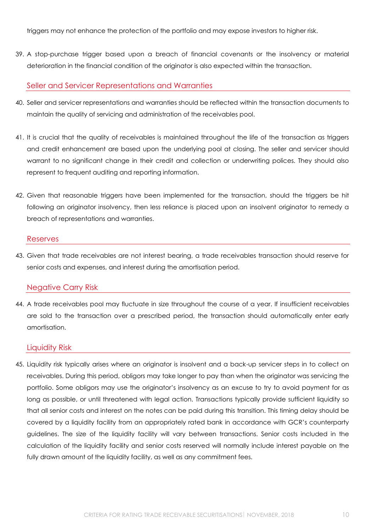triggers may not enhance the protection of the portfolio and may expose investors to higher risk.

39. A stop-purchase trigger based upon a breach of financial covenants or the insolvency or material deterioration in the financial condition of the originator is also expected within the transaction.

#### <span id="page-9-0"></span>Seller and Servicer Representations and Warranties

- 40. Seller and servicer representations and warranties should be reflected within the transaction documents to maintain the quality of servicing and administration of the receivables pool.
- 41. It is crucial that the quality of receivables is maintained throughout the life of the transaction as triggers and credit enhancement are based upon the underlying pool at closing. The seller and servicer should warrant to no significant change in their credit and collection or underwriting polices. They should also represent to frequent auditing and reporting information.
- 42. Given that reasonable triggers have been implemented for the transaction, should the triggers be hit following an originator insolvency, then less reliance is placed upon an insolvent originator to remedy a breach of representations and warranties.

#### <span id="page-9-1"></span>Reserves

43. Given that trade receivables are not interest bearing, a trade receivables transaction should reserve for senior costs and expenses, and interest during the amortisation period.

#### <span id="page-9-2"></span>Negative Carry Risk

44. A trade receivables pool may fluctuate in size throughout the course of a year. If insufficient receivables are sold to the transaction over a prescribed period, the transaction should automatically enter early amortisation.

#### <span id="page-9-3"></span>Liquidity Risk

45. Liquidity risk typically arises where an originator is insolvent and a back-up servicer steps in to collect on receivables. During this period, obligors may take longer to pay than when the originator was servicing the portfolio. Some obligors may use the originator's insolvency as an excuse to try to avoid payment for as long as possible, or until threatened with legal action. Transactions typically provide sufficient liquidity so that all senior costs and interest on the notes can be paid during this transition. This timing delay should be covered by a liquidity facility from an appropriately rated bank in accordance with GCR's counterparty guidelines. The size of the liquidity facility will vary between transactions. Senior costs included in the calculation of the liquidity facility and senior costs reserved will normally include interest payable on the fully drawn amount of the liquidity facility, as well as any commitment fees.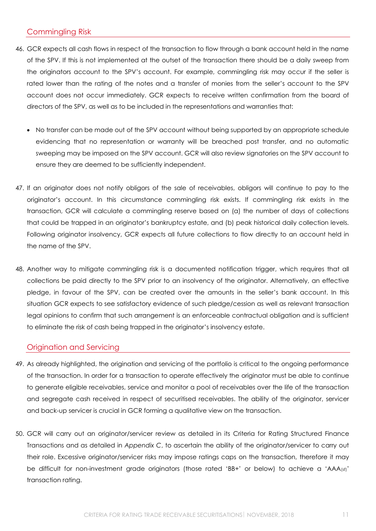## <span id="page-10-0"></span>Commingling Risk

- 46. GCR expects all cash flows in respect of the transaction to flow through a bank account held in the name of the SPV. If this is not implemented at the outset of the transaction there should be a daily sweep from the originators account to the SPV's account. For example, commingling risk may occur if the seller is rated lower than the rating of the notes and a transfer of monies from the seller's account to the SPV account does not occur immediately. GCR expects to receive written confirmation from the board of directors of the SPV, as well as to be included in the representations and warranties that:
	- No transfer can be made out of the SPV account without being supported by an appropriate schedule evidencing that no representation or warranty will be breached post transfer, and no automatic sweeping may be imposed on the SPV account. GCR will also review signatories on the SPV account to ensure they are deemed to be sufficiently independent.
- 47. If an originator does not notify obligors of the sale of receivables, obligors will continue to pay to the originator's account. In this circumstance commingling risk exists. If commingling risk exists in the transaction, GCR will calculate a commingling reserve based on (a) the number of days of collections that could be trapped in an originator's bankruptcy estate, and (b) peak historical daily collection levels. Following originator insolvency, GCR expects all future collections to flow directly to an account held in the name of the SPV.
- 48. Another way to mitigate commingling risk is a documented notification trigger, which requires that all collections be paid directly to the SPV prior to an insolvency of the originator. Alternatively, an effective pledge, in favour of the SPV, can be created over the amounts in the seller's bank account. In this situation GCR expects to see satisfactory evidence of such pledge/cession as well as relevant transaction legal opinions to confirm that such arrangement is an enforceable contractual obligation and is sufficient to eliminate the risk of cash being trapped in the originator's insolvency estate.

#### <span id="page-10-1"></span>Origination and Servicing

- 49. As already highlighted, the origination and servicing of the portfolio is critical to the ongoing performance of the transaction. In order for a transaction to operate effectively the originator must be able to continue to generate eligible receivables, service and monitor a pool of receivables over the life of the transaction and segregate cash received in respect of securitised receivables. The ability of the originator, servicer and back-up servicer is crucial in GCR forming a qualitative view on the transaction.
- 50. GCR will carry out an originator/servicer review as detailed in its Criteria for Rating Structured Finance Transactions and as detailed in *Appendix C*, to ascertain the ability of the originator/servicer to carry out their role. Excessive originator/servicer risks may impose ratings caps on the transaction, therefore it may be difficult for non-investment grade originators (those rated 'BB+' or below) to achieve a 'AAA(sf)' transaction rating.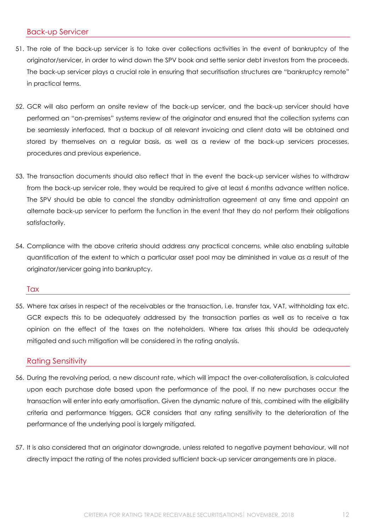#### <span id="page-11-0"></span>Back-up Servicer

- 51. The role of the back-up servicer is to take over collections activities in the event of bankruptcy of the originator/servicer, in order to wind down the SPV book and settle senior debt investors from the proceeds. The back-up servicer plays a crucial role in ensuring that securitisation structures are "bankruptcy remote" in practical terms.
- 52. GCR will also perform an onsite review of the back-up servicer, and the back-up servicer should have performed an "on-premises" systems review of the originator and ensured that the collection systems can be seamlessly interfaced, that a backup of all relevant invoicing and client data will be obtained and stored by themselves on a regular basis, as well as a review of the back-up servicers processes, procedures and previous experience.
- 53. The transaction documents should also reflect that in the event the back-up servicer wishes to withdraw from the back-up servicer role, they would be required to give at least 6 months advance written notice. The SPV should be able to cancel the standby administration agreement at any time and appoint an alternate back-up servicer to perform the function in the event that they do not perform their obligations satisfactorily.
- 54. Compliance with the above criteria should address any practical concerns, while also enabling suitable quantification of the extent to which a particular asset pool may be diminished in value as a result of the originator/servicer going into bankruptcy.

#### <span id="page-11-1"></span>**Tax**

55. Where tax arises in respect of the receivables or the transaction, i.e. transfer tax, VAT, withholding tax etc. GCR expects this to be adequately addressed by the transaction parties as well as to receive a tax opinion on the effect of the taxes on the noteholders. Where tax arises this should be adequately mitigated and such mitigation will be considered in the rating analysis.

#### <span id="page-11-2"></span>Rating Sensitivity

- 56. During the revolving period, a new discount rate, which will impact the over-collateralisation, is calculated upon each purchase date based upon the performance of the pool. If no new purchases occur the transaction will enter into early amortisation. Given the dynamic nature of this, combined with the eligibility criteria and performance triggers, GCR considers that any rating sensitivity to the deterioration of the performance of the underlying pool is largely mitigated.
- 57. It is also considered that an originator downgrade, unless related to negative payment behaviour, will not directly impact the rating of the notes provided sufficient back-up servicer arrangements are in place.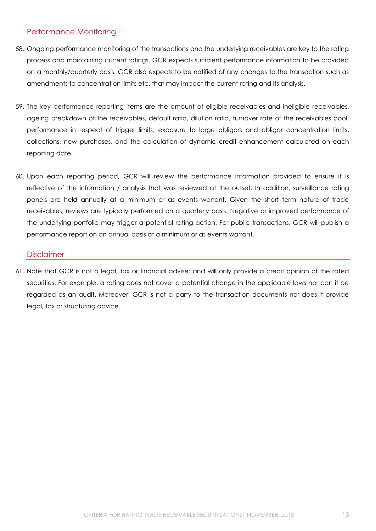## <span id="page-12-0"></span>Performance Monitoring

- 58. Ongoing performance monitoring of the transactions and the underlying receivables are key to the rating process and maintaining current ratings. GCR expects sufficient performance information to be provided on a monthly/quarterly basis. GCR also expects to be notified of any changes to the transaction such as amendments to concentration limits etc. that may impact the current rating and its analysis.
- 59. The key performance reporting items are the amount of eligible receivables and ineligible receivables, ageing breakdown of the receivables, default ratio, dilution ratio, turnover rate of the receivables pool, performance in respect of trigger limits, exposure to large obligors and obligor concentration limits, collections, new purchases, and the calculation of dynamic credit enhancement calculated on each reporting date.
- 60. Upon each reporting period, GCR will review the performance information provided to ensure it is reflective of the information / analysis that was reviewed at the outset. In addition, surveillance rating panels are held annually at a minimum or as events warrant. Given the short term nature of trade receivables, reviews are typically performed on a quarterly basis. Negative or improved performance of the underlying portfolio may trigger a potential rating action. For public transactions, GCR will publish a performance report on an annual basis at a minimum or as events warrant.

#### <span id="page-12-1"></span>**Disclaimer**

61. Note that GCR is not a legal, tax or financial adviser and will only provide a credit opinion of the rated securities. For example, a rating does not cover a potential change in the applicable laws nor can it be regarded as an audit. Moreover, GCR is not a party to the transaction documents nor does it provide legal, tax or structuring advice.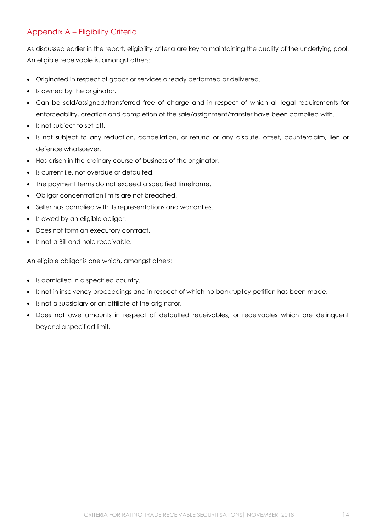## <span id="page-13-0"></span>Appendix A – Eligibility Criteria

As discussed earlier in the report, eligibility criteria are key to maintaining the quality of the underlying pool. An eligible receivable is, amongst others:

- Originated in respect of goods or services already performed or delivered.
- Is owned by the originator.
- Can be sold/assigned/transferred free of charge and in respect of which all legal requirements for enforceability, creation and completion of the sale/assignment/transfer have been complied with.
- Is not subject to set-off.
- Is not subject to any reduction, cancellation, or refund or any dispute, offset, counterclaim, lien or defence whatsoever.
- Has arisen in the ordinary course of business of the originator.
- Is current i.e. not overdue or defaulted
- The payment terms do not exceed a specified timeframe.
- Obligor concentration limits are not breached.
- Seller has complied with its representations and warranties.
- Is owed by an eligible obligor.
- Does not form an executory contract.
- Is not a Bill and hold receivable.

An eligible obligor is one which, amongst others:

- Is domiciled in a specified country.
- Is not in insolvency proceedings and in respect of which no bankruptcy petition has been made.
- Is not a subsidiary or an affiliate of the originator.
- Does not owe amounts in respect of defaulted receivables, or receivables which are delinquent beyond a specified limit.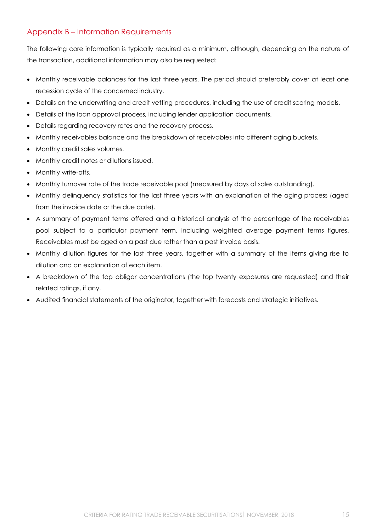## <span id="page-14-0"></span>Appendix B – Information Requirements

The following core information is typically required as a minimum, although, depending on the nature of the transaction, additional information may also be requested:

- Monthly receivable balances for the last three years. The period should preferably cover at least one recession cycle of the concerned industry.
- Details on the underwriting and credit vetting procedures, including the use of credit scoring models.
- Details of the loan approval process, including lender application documents.
- Details regarding recovery rates and the recovery process.
- Monthly receivables balance and the breakdown of receivables into different aging buckets.
- Monthly credit sales volumes.
- Monthly credit notes or dilutions issued.
- Monthly write-offs.
- Monthly turnover rate of the trade receivable pool (measured by days of sales outstanding).
- Monthly delinquency statistics for the last three years with an explanation of the aging process (aged from the invoice date or the due date).
- A summary of payment terms offered and a historical analysis of the percentage of the receivables pool subject to a particular payment term, including weighted average payment terms figures. Receivables must be aged on a past due rather than a past invoice basis.
- Monthly dilution figures for the last three years, together with a summary of the items giving rise to dilution and an explanation of each item.
- A breakdown of the top obligor concentrations (the top twenty exposures are requested) and their related ratings, if any.
- Audited financial statements of the originator, together with forecasts and strategic initiatives.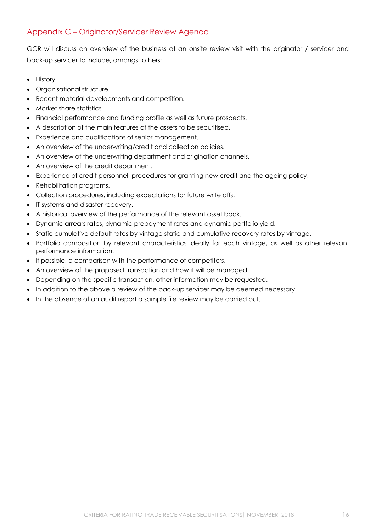<span id="page-15-0"></span>GCR will discuss an overview of the business at an onsite review visit with the originator / servicer and back-up servicer to include, amongst others:

- History.
- Organisational structure.
- Recent material developments and competition.
- Market share statistics.
- Financial performance and funding profile as well as future prospects.
- A description of the main features of the assets to be securitised.
- Experience and qualifications of senior management.
- An overview of the underwriting/credit and collection policies.
- An overview of the underwriting department and origination channels.
- An overview of the credit department.
- Experience of credit personnel, procedures for granting new credit and the ageing policy.
- Rehabilitation programs.
- Collection procedures, including expectations for future write offs.
- IT systems and disaster recovery.
- A historical overview of the performance of the relevant asset book.
- Dynamic arrears rates, dynamic prepayment rates and dynamic portfolio yield.
- Static cumulative default rates by vintage static and cumulative recovery rates by vintage.
- Portfolio composition by relevant characteristics ideally for each vintage, as well as other relevant performance information.
- If possible, a comparison with the performance of competitors.
- An overview of the proposed transaction and how it will be managed.
- Depending on the specific transaction, other information may be requested.
- In addition to the above a review of the back-up servicer may be deemed necessary.
- In the absence of an audit report a sample file review may be carried out.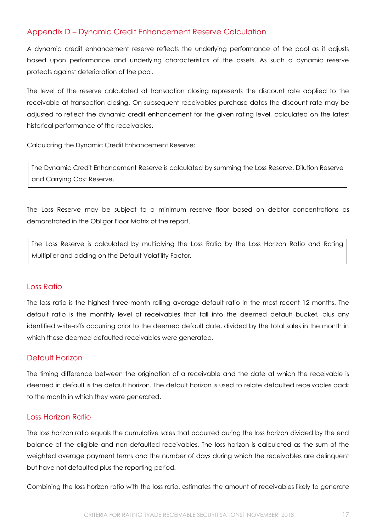<span id="page-16-0"></span>A dynamic credit enhancement reserve reflects the underlying performance of the pool as it adjusts based upon performance and underlying characteristics of the assets. As such a dynamic reserve protects against deterioration of the pool.

The level of the reserve calculated at transaction closing represents the discount rate applied to the receivable at transaction closing. On subsequent receivables purchase dates the discount rate may be adjusted to reflect the dynamic credit enhancement for the given rating level, calculated on the latest historical performance of the receivables.

Calculating the Dynamic Credit Enhancement Reserve:

The Dynamic Credit Enhancement Reserve is calculated by summing the Loss Reserve, Dilution Reserve and Carrying Cost Reserve.

The Loss Reserve may be subject to a minimum reserve floor based on debtor concentrations as demonstrated in the Obligor Floor Matrix of the report.

The Loss Reserve is calculated by multiplying the Loss Ratio by the Loss Horizon Ratio and Rating Multiplier and adding on the Default Volatility Factor.

## <span id="page-16-1"></span>Loss Ratio

The loss ratio is the highest three-month rolling average default ratio in the most recent 12 months. The default ratio is the monthly level of receivables that fall into the deemed default bucket, plus any identified write-offs occurring prior to the deemed default date, divided by the total sales in the month in which these deemed defaulted receivables were generated.

## <span id="page-16-2"></span>Default Horizon

The timing difference between the origination of a receivable and the date at which the receivable is deemed in default is the default horizon. The default horizon is used to relate defaulted receivables back to the month in which they were generated.

## <span id="page-16-3"></span>Loss Horizon Ratio

The loss horizon ratio equals the cumulative sales that occurred during the loss horizon divided by the end balance of the eligible and non-defaulted receivables. The loss horizon is calculated as the sum of the weighted average payment terms and the number of days during which the receivables are delinquent but have not defaulted plus the reporting period.

Combining the loss horizon ratio with the loss ratio, estimates the amount of receivables likely to generate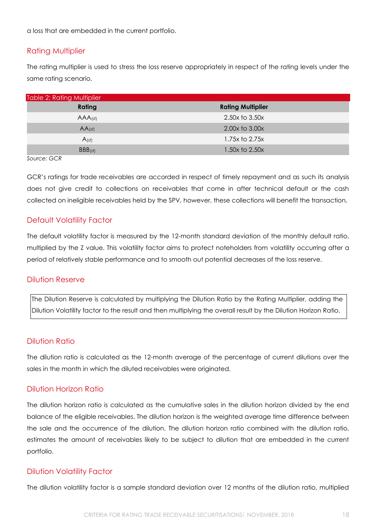a loss that are embedded in the current portfolio.

#### <span id="page-17-0"></span>Rating Multiplier

The rating multiplier is used to stress the loss reserve appropriately in respect of the rating levels under the same rating scenario.

| Table 2: Rating Multiplier |                          |  |  |  |
|----------------------------|--------------------------|--|--|--|
| Rating                     | <b>Rating Multiplier</b> |  |  |  |
| $AAA$ (sf)                 | 2.50x to 3.50x           |  |  |  |
| $AA$ (sf)                  | 2.00x to 3.00x           |  |  |  |
| A(s)                       | 1.75x to 2.75x           |  |  |  |
| BBB(sf)                    | $1.50x$ to $2.50x$       |  |  |  |

*Source: GCR*

GCR's ratings for trade receivables are accorded in respect of timely repayment and as such its analysis does not give credit to collections on receivables that come in after technical default or the cash collected on ineligible receivables held by the SPV, however, these collections will benefit the transaction.

## <span id="page-17-1"></span>Default Volatility Factor

The default volatility factor is measured by the 12-month standard deviation of the monthly default ratio, multiplied by the Z value. This volatility factor aims to protect noteholders from volatility occurring after a period of relatively stable performance and to smooth out potential decreases of the loss reserve.

#### <span id="page-17-2"></span>Dilution Reserve

The Dilution Reserve is calculated by multiplying the Dilution Ratio by the Rating Multiplier, adding the Dilution Volatility factor to the result and then multiplying the overall result by the Dilution Horizon Ratio.

## <span id="page-17-3"></span>Dilution Ratio

The dilution ratio is calculated as the 12-month average of the percentage of current dilutions over the sales in the month in which the diluted receivables were originated.

#### <span id="page-17-4"></span>Dilution Horizon Ratio

The dilution horizon ratio is calculated as the cumulative sales in the dilution horizon divided by the end balance of the eligible receivables. The dilution horizon is the weighted average time difference between the sale and the occurrence of the dilution. The dilution horizon ratio combined with the dilution ratio, estimates the amount of receivables likely to be subject to dilution that are embedded in the current portfolio.

#### <span id="page-17-5"></span>Dilution Volatility Factor

The dilution volatility factor is a sample standard deviation over 12 months of the dilution ratio, multiplied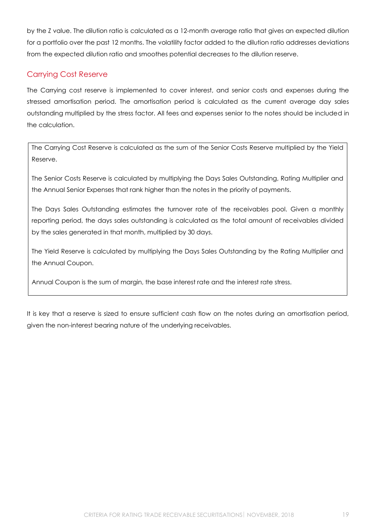by the Z value. The dilution ratio is calculated as a 12-month average ratio that gives an expected dilution for a portfolio over the past 12 months. The volatility factor added to the dilution ratio addresses deviations from the expected dilution ratio and smoothes potential decreases to the dilution reserve.

## <span id="page-18-0"></span>Carrying Cost Reserve

The Carrying cost reserve is implemented to cover interest, and senior costs and expenses during the stressed amortisation period. The amortisation period is calculated as the current average day sales outstanding multiplied by the stress factor. All fees and expenses senior to the notes should be included in the calculation.

The Carrying Cost Reserve is calculated as the sum of the Senior Costs Reserve multiplied by the Yield Reserve.

The Senior Costs Reserve is calculated by multiplying the Days Sales Outstanding, Rating Multiplier and the Annual Senior Expenses that rank higher than the notes in the priority of payments.

The Days Sales Outstanding estimates the turnover rate of the receivables pool. Given a monthly reporting period, the days sales outstanding is calculated as the total amount of receivables divided by the sales generated in that month, multiplied by 30 days.

The Yield Reserve is calculated by multiplying the Days Sales Outstanding by the Rating Multiplier and the Annual Coupon.

Annual Coupon is the sum of margin, the base interest rate and the interest rate stress.

It is key that a reserve is sized to ensure sufficient cash flow on the notes during an amortisation period, given the non-interest bearing nature of the underlying receivables.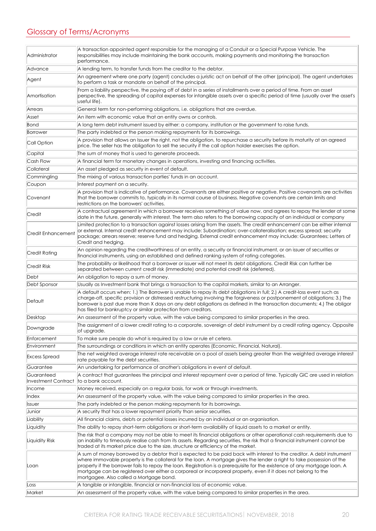# <span id="page-19-0"></span>Glossary of Terms/Acronyms

| Administrator                     | A transaction appointed agent responsible for the managing of a Conduit or a Special Purpose Vehicle. The<br>responsibilities may include maintaining the bank accounts, making payments and monitoring the transaction<br>performance.                                                                                                                                                                                                                                                                                                   |
|-----------------------------------|-------------------------------------------------------------------------------------------------------------------------------------------------------------------------------------------------------------------------------------------------------------------------------------------------------------------------------------------------------------------------------------------------------------------------------------------------------------------------------------------------------------------------------------------|
| Advance                           | A lending term, to transfer funds from the creditor to the debtor.                                                                                                                                                                                                                                                                                                                                                                                                                                                                        |
| Agent                             | An agreement where one party (agent) concludes a juristic act on behalf of the other (principal). The agent undertakes<br>to perform a task or mandate on behalf of the principal.                                                                                                                                                                                                                                                                                                                                                        |
| Amortisation                      | From a liability perspective, the paying off of debt in a series of installments over a period of time. From an asset<br>perspective, the spreading of capital expenses for intangible assets over a specific period of time (usually over the asset's<br>useful life).                                                                                                                                                                                                                                                                   |
| Arrears                           | General term for non-performing obligations, i.e. obligations that are overdue.                                                                                                                                                                                                                                                                                                                                                                                                                                                           |
| Asset                             | An item with economic value that an entity owns or controls.                                                                                                                                                                                                                                                                                                                                                                                                                                                                              |
| Bond                              | A long term debt instrument issued by either: a company, institution or the government to raise funds.                                                                                                                                                                                                                                                                                                                                                                                                                                    |
| Borrower                          | The party indebted or the person making repayments for its borrowings.                                                                                                                                                                                                                                                                                                                                                                                                                                                                    |
| Call Option                       | A provision that allows an Issuer the right, not the obligation, to repurchase a security before its maturity at an agreed<br>price. The seller has the obligation to sell the security if the call option holder exercises the option.                                                                                                                                                                                                                                                                                                   |
| Capital                           | The sum of money that is used to generate proceeds.                                                                                                                                                                                                                                                                                                                                                                                                                                                                                       |
| Cash Flow                         | A financial term for monetary changes in operations, investing and financing activities.                                                                                                                                                                                                                                                                                                                                                                                                                                                  |
| Collateral                        | An asset pledged as security in event of default.                                                                                                                                                                                                                                                                                                                                                                                                                                                                                         |
| Commingling                       | The mixing of various transaction parties' funds in an account.                                                                                                                                                                                                                                                                                                                                                                                                                                                                           |
| Coupon                            | Interest payment on a security.                                                                                                                                                                                                                                                                                                                                                                                                                                                                                                           |
| Covenant                          | A provision that is indicative of performance. Covenants are either positive or negative. Positive covenants are activities<br> that the borrower commits to, typically in its normal course of business. Negative covenants are certain limits and<br>restrictions on the borrowers' activities.                                                                                                                                                                                                                                         |
| Credit                            | A contractual agreement in which a borrower receives something of value now, and agrees to repay the lender at some<br>date in the future, generally with interest. The term also refers to the borrowing capacity of an individual or company                                                                                                                                                                                                                                                                                            |
| Credit Enhancement                | Limited protection to a transaction against losses arising from the assets. The credit enhancement can be either internal<br>or external. Internal credit enhancement may include: Subordination; over-collateralisation; excess spread; security<br>package; arrears reserve; reserve fund and hedging. External credit enhancement may include: Guarantees; Letters of<br>Credit and hedging.                                                                                                                                           |
| Credit Rating                     | An opinion regarding the creditworthiness of an entity, a security or financial instrument, or an issuer of securities or<br>financial instruments, using an established and defined ranking system of rating categories.                                                                                                                                                                                                                                                                                                                 |
| <b>Credit Risk</b>                | The probability or likelihood that a borrower or issuer will not meet its debt obligations. Credit Risk can further be<br>separated between current credit risk (immediate) and potential credit risk (deferred).                                                                                                                                                                                                                                                                                                                         |
| Debt                              | An obligation to repay a sum of money.                                                                                                                                                                                                                                                                                                                                                                                                                                                                                                    |
| Debt Sponsor                      | Usually as Investment bank that brings a transaction to the capital markets, similar to an Arranger.                                                                                                                                                                                                                                                                                                                                                                                                                                      |
| Default                           | A default occurs when: 1.) The Borrower is unable to repay its debt obligations in full; 2.) A credit-loss event such as<br>charge-off, specific provision or distressed restructuring involving the forgiveness or postponement of obligations; 3.) The<br>borrower is past due more than X days on any debt obligations as defined in the transaction documents; 4.) The obligor<br>has filed for bankruptcy or similar protection from creditors.                                                                                      |
| Desktop                           | An assessment of the property value, with the value being compared to similar properties in the area.                                                                                                                                                                                                                                                                                                                                                                                                                                     |
| Downgrade                         | The assignment of a lower credit rating to a corporate, sovereign of debt instrument by a credit rating agency. Opposite<br>of upgrade.                                                                                                                                                                                                                                                                                                                                                                                                   |
| Enforcement                       | To make sure people do what is required by a law or rule et cetera.                                                                                                                                                                                                                                                                                                                                                                                                                                                                       |
| Environment                       | The surroundings or conditions in which an entity operates (Economic, Financial, Natural).                                                                                                                                                                                                                                                                                                                                                                                                                                                |
| <b>Excess Spread</b>              | The net weighted average interest rate receivable on a pool of assets being greater than the weighted average interest<br>rate payable for the debt securities.                                                                                                                                                                                                                                                                                                                                                                           |
| Guarantee                         | An undertaking for performance of another's obligations in event of default.                                                                                                                                                                                                                                                                                                                                                                                                                                                              |
| Guaranteed<br>Investment Contract | A contract that guarantees the principal and interest repayment over a period of time. Typically GIC are used in relation<br>to a bank account.                                                                                                                                                                                                                                                                                                                                                                                           |
| Income                            | Money received, especially on a regular basis, for work or through investments.                                                                                                                                                                                                                                                                                                                                                                                                                                                           |
| Index                             | An assessment of the property value, with the value being compared to similar properties in the area.                                                                                                                                                                                                                                                                                                                                                                                                                                     |
| <b>Issuer</b>                     | The party indebted or the person making repayments for its borrowings.                                                                                                                                                                                                                                                                                                                                                                                                                                                                    |
| Junior                            | A security that has a lower repayment priority than senior securities.                                                                                                                                                                                                                                                                                                                                                                                                                                                                    |
| Liability                         | All financial claims, debts or potential losses incurred by an individual or an organisation.                                                                                                                                                                                                                                                                                                                                                                                                                                             |
| Liquidity                         | The ability to repay short-term obligations or short-term availability of liquid assets to a market or entity.                                                                                                                                                                                                                                                                                                                                                                                                                            |
| Liquidity Risk                    | The risk that a company may not be able to meet its financial obligations or other operational cash requirements due to<br>an inability to timeously realise cash from its assets. Regarding securities, the risk that a financial instrument cannot be<br>traded at its market price due to the size, structure or efficiency of the market.                                                                                                                                                                                             |
| Loan                              | A sum of money borrowed by a debtor that is expected to be paid back with interest to the creditor. A debt instrument<br>where immovable property is the collateral for the loan. A mortgage gives the lender a right to take possession of the<br>property if the borrower fails to repay the loan. Registration is a prerequisite for the existence of any mortgage loan. A<br>mortgage can be registered over either a corporeal or incorporeal property, even if it does not belong to the<br>mortgagee. Also called a Mortgage bond. |
| Loss                              | A tangible or intangible, financial or non-financial loss of economic value.                                                                                                                                                                                                                                                                                                                                                                                                                                                              |
| Market                            | An assessment of the property value, with the value being compared to similar properties in the area.                                                                                                                                                                                                                                                                                                                                                                                                                                     |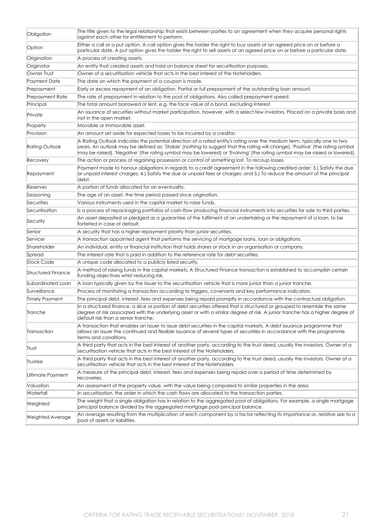| Obligation            | The title given to the legal relationship that exists between parties to an agreement when they acquire personal rights<br>against each other for entitlement to perform.                                                                                                                                                                                                              |
|-----------------------|----------------------------------------------------------------------------------------------------------------------------------------------------------------------------------------------------------------------------------------------------------------------------------------------------------------------------------------------------------------------------------------|
| Option                | Either a call or a put option. A call option gives the holder the right to buy assets at an agreed price on or before a<br>particular date. A put option gives the holder the right to sell assets at an agreed price on or before a particular date.                                                                                                                                  |
| Origination           | A process of creating assets.                                                                                                                                                                                                                                                                                                                                                          |
| Originator            | An entity that created assets and hold on balance sheet for securitisation purposes.                                                                                                                                                                                                                                                                                                   |
| Owner Trust           | Owner of a securitisation vehicle that acts in the best interest of the Noteholders.                                                                                                                                                                                                                                                                                                   |
| Payment Date          | The date on which the payment of a coupon is made.                                                                                                                                                                                                                                                                                                                                     |
| Prepayment            | Early or excess repayment of an obligation. Partial or full prepayment of the outstanding loan amount.                                                                                                                                                                                                                                                                                 |
| Prepayment Rate       | The rate of prepayment in relation to the pool of obligations. Also called prepayment speed.                                                                                                                                                                                                                                                                                           |
| Principal             | The total amount borrowed or lent, e.g. the face value of a bond, excluding interest.                                                                                                                                                                                                                                                                                                  |
| Private               | An issuance of securities without market participation, however, with a select few investors. Placed on a private basis and<br>not in the open market.                                                                                                                                                                                                                                 |
| Property              | Movable or immovable asset.                                                                                                                                                                                                                                                                                                                                                            |
| Provision             | An amount set aside for expected losses to be incurred by a creditor.                                                                                                                                                                                                                                                                                                                  |
| Rating Outlook        | A Rating Outlook indicates the potential direction of a rated entity's rating over the medium term, typically one to two<br>years. An outlook may be defined as: 'Stable' (nothing to suggest that the rating will change), 'Positive' (the rating symbol<br>may be raised), 'Negative' (the rating symbol may be lowered) or 'Evolving' (the rating symbol may be raised or lowered). |
| Recovery              | The action or process of regaining possession or control of something lost. To recoup losses.                                                                                                                                                                                                                                                                                          |
| Repayment             | Payment made to honour obligations in regards to a credit agreement in the following credited order: 3.) Satisfy the due<br>or unpaid interest charges; 4.) Satisfy the due or unpaid fees or charges; and 5.) To reduce the amount of the principal<br>debt.                                                                                                                          |
| Reserves              | A portion of funds allocated for an eventuality.                                                                                                                                                                                                                                                                                                                                       |
| Seasoning             | The age of an asset, the time period passed since origination.                                                                                                                                                                                                                                                                                                                         |
| Securities            | Various instruments used in the capital market to raise funds.                                                                                                                                                                                                                                                                                                                         |
| Securitisation        | Is a process of repackaging portfolios of cash-flow producing financial instruments into securities for sale to third parties.                                                                                                                                                                                                                                                         |
| Security              | An asset deposited or pledged as a guarantee of the fulfilment of an undertaking or the repayment of a loan, to be<br>forfeited in case of default.                                                                                                                                                                                                                                    |
| Senior                | A security that has a higher repayment priority than junior securities.                                                                                                                                                                                                                                                                                                                |
| Servicer              | A transaction appointed agent that performs the servicing of mortgage loans, loan or obligations.                                                                                                                                                                                                                                                                                      |
| Shareholder           | An individual, entity or financial institution that holds shares or stock in an organisation or company.                                                                                                                                                                                                                                                                               |
| Spread                | The interest rate that is paid in addition to the reference rate for debt securities.                                                                                                                                                                                                                                                                                                  |
| Stock Code            | A unique code allocated to a publicly listed security.                                                                                                                                                                                                                                                                                                                                 |
| Structured Finance    | A method of raising funds in the capital markets. A Structured Finance transaction is established to accomplish certain<br>funding objectives whist reducing risk.                                                                                                                                                                                                                     |
| Subordinated Loan     | A loan typically given by the Issuer to the securitisation vehicle that is more junior than a junior tranche.                                                                                                                                                                                                                                                                          |
| Surveillance          | Process of monitoring a transaction according to triggers, covenants and key performance indicators.                                                                                                                                                                                                                                                                                   |
| <b>Timely Payment</b> | The principal debt, interest, fees and expenses being repaid promptly in accordance with the contractual obligation.                                                                                                                                                                                                                                                                   |
| Tranche               | In a structured finance, a slice or portion of debt securities offered that is structured or grouped to resemble the same<br>degree of risk associated with the underlying asset or with a similar degree of risk. A junior tranche has a higher degree of<br>default risk than a senior tranche.                                                                                      |
| Transaction           | A transaction that enables an Issuer to issue debt securities in the capital markets. A debt issuance programme that<br>allows an Issuer the continued and flexible issuance of several types of securities in accordance with the programme<br>terms and conditions.                                                                                                                  |
| Trust                 | A third party that acts in the best interest of another party, according to the trust deed, usually the investors. Owner of a<br>securitisation vehicle that acts in the best interest of the Noteholders.                                                                                                                                                                             |
| Trustee               | A third party that acts in the best interest of another party, according to the trust deed, usually the investors. Owner of a<br>securitisation vehicle that acts in the best interest of the Noteholders.                                                                                                                                                                             |
| Ultimate Payment      | A measure of the principal debt, interest, fees and expenses being repaid over a period of time determined by<br>recoveries.                                                                                                                                                                                                                                                           |
| Valuation             | An assessment of the property value, with the value being compared to similar properties in the area.                                                                                                                                                                                                                                                                                  |
| Waterfall             | In securitisation, the order in which the cash flows are allocated to the transaction parties.                                                                                                                                                                                                                                                                                         |
| Weighted              | The weight that a single obligation has in relation to the aggregated pool of obligations. For example, a single mortgage<br>principal balance divided by the aggregated mortgage pool principal balance.                                                                                                                                                                              |
| Weighted Average      | An average resulting from the multiplication of each component by a factor reflecting its importance or, relative size to a<br>pool of assets or liabilities.                                                                                                                                                                                                                          |